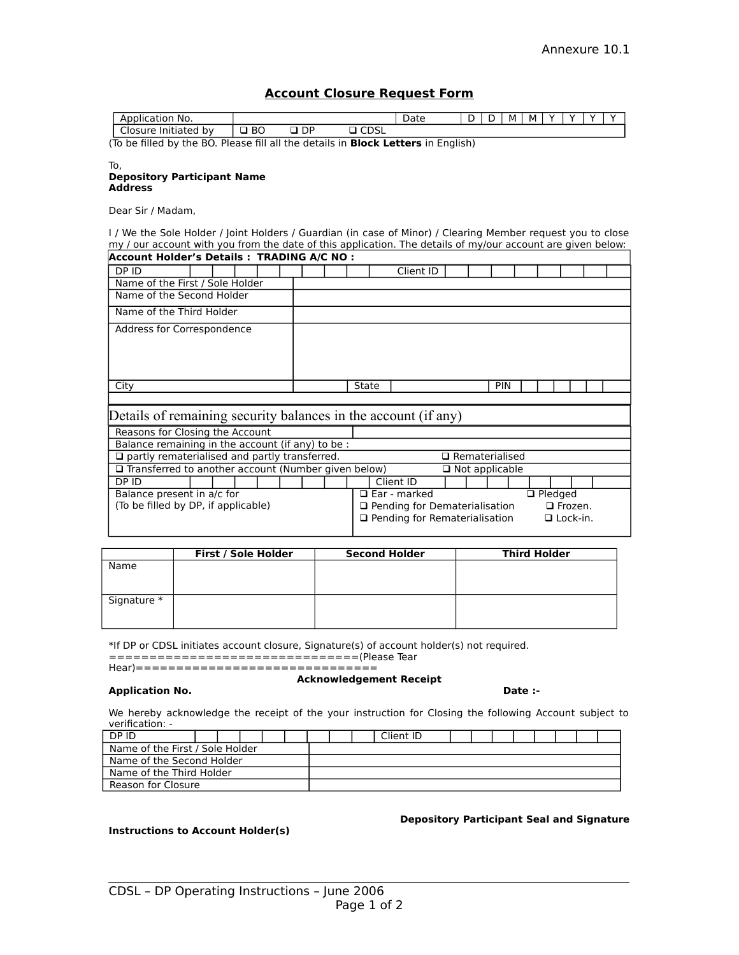# **Account Closure Request Form**

| Application<br>Mo.<br>$\mathbf{A}$       |                     |    |                               | Date | ◡ | м | м | . . | v |  |
|------------------------------------------|---------------------|----|-------------------------------|------|---|---|---|-----|---|--|
| $\sim$<br>.<br>Closure<br>. initiated by | <b>BO</b><br>$\sim$ | DP | $\sim$ $\sim$ $\sim$<br>UUJL. |      |   |   |   |     |   |  |

(To be filled by the BO. Please fill all the details in **Block Letters** in English)

#### To, **Depository Participant Name Address**

Dear Sir / Madam,

I / We the Sole Holder / Joint Holders / Guardian (in case of Minor) / Clearing Member request you to close my / our account with you from the date of this application. The details of my/our account are given below: **Account Holder's Details : TRADING A/C NO :** 

| DP ID                                                          |                                       |                                                        | Client ID             |  |  |     |  |  |  |                                                         |  |  |  |  |  |  |  |
|----------------------------------------------------------------|---------------------------------------|--------------------------------------------------------|-----------------------|--|--|-----|--|--|--|---------------------------------------------------------|--|--|--|--|--|--|--|
| Name of the First / Sole Holder                                |                                       |                                                        |                       |  |  |     |  |  |  |                                                         |  |  |  |  |  |  |  |
| Name of the Second Holder                                      |                                       |                                                        |                       |  |  |     |  |  |  |                                                         |  |  |  |  |  |  |  |
| Name of the Third Holder                                       |                                       |                                                        |                       |  |  |     |  |  |  |                                                         |  |  |  |  |  |  |  |
| Address for Correspondence                                     |                                       |                                                        |                       |  |  |     |  |  |  |                                                         |  |  |  |  |  |  |  |
| City                                                           |                                       | State                                                  |                       |  |  | PIN |  |  |  |                                                         |  |  |  |  |  |  |  |
|                                                                |                                       |                                                        |                       |  |  |     |  |  |  |                                                         |  |  |  |  |  |  |  |
| Details of remaining security balances in the account (if any) |                                       |                                                        |                       |  |  |     |  |  |  |                                                         |  |  |  |  |  |  |  |
| Reasons for Closing the Account                                |                                       |                                                        |                       |  |  |     |  |  |  |                                                         |  |  |  |  |  |  |  |
| Balance remaining in the account (if any) to be :              |                                       |                                                        |                       |  |  |     |  |  |  |                                                         |  |  |  |  |  |  |  |
| $\Box$ partly rematerialised and partly transferred.           | $\Box$ Rematerialised                 |                                                        |                       |  |  |     |  |  |  |                                                         |  |  |  |  |  |  |  |
| □ Transferred to another account (Number given below)          |                                       |                                                        | $\Box$ Not applicable |  |  |     |  |  |  |                                                         |  |  |  |  |  |  |  |
| DP ID                                                          |                                       |                                                        | Client ID             |  |  |     |  |  |  |                                                         |  |  |  |  |  |  |  |
| Balance present in a/c for                                     | $\Box$ Ear - marked<br>$\Box$ Pledged |                                                        |                       |  |  |     |  |  |  |                                                         |  |  |  |  |  |  |  |
| (To be filled by DP, if applicable)                            |                                       | $\Box$ Pending for Dematerialisation<br>$\Box$ Frozen. |                       |  |  |     |  |  |  |                                                         |  |  |  |  |  |  |  |
|                                                                |                                       |                                                        |                       |  |  |     |  |  |  | $\Box$ Pending for Rematerialisation<br>$\Box$ Lock-in. |  |  |  |  |  |  |  |

|             | <b>First / Sole Holder</b> | <b>Second Holder</b> | <b>Third Holder</b> |
|-------------|----------------------------|----------------------|---------------------|
| Name        |                            |                      |                     |
|             |                            |                      |                     |
|             |                            |                      |                     |
| Signature * |                            |                      |                     |
|             |                            |                      |                     |
|             |                            |                      |                     |

\*If DP or CDSL initiates account closure, Signature(s) of account holder(s) not required.

===============================(Please Tear

Hear)==============================

#### **Application No.** Date :- **Date :-**

## **Acknowledgement Receipt**

We hereby acknowledge the receipt of the your instruction for Closing the following Account subject to verification: -

| DP ID                           | Client ID |
|---------------------------------|-----------|
| Name of the First / Sole Holder |           |
| Name of the Second Holder       |           |
| Name of the Third Holder        |           |
| Reason for Closure              |           |

## **Instructions to Account Holder(s)**

## **Depository Participant Seal and Signature**